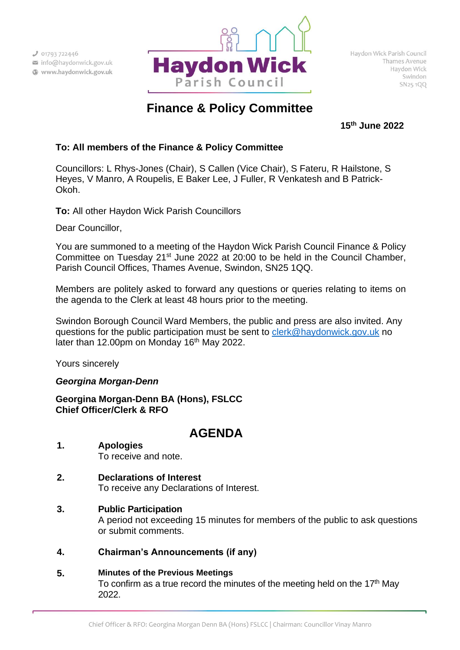

# **Finance & Policy Committee**

**15th June 2022**

# **To: All members of the Finance & Policy Committee**

Councillors: L Rhys-Jones (Chair), S Callen (Vice Chair), S Fateru, R Hailstone, S Heyes, V Manro, A Roupelis, E Baker Lee, J Fuller, R Venkatesh and B Patrick-Okoh.

**To:** All other Haydon Wick Parish Councillors

Dear Councillor,

You are summoned to a meeting of the Haydon Wick Parish Council Finance & Policy Committee on Tuesday 21<sup>st</sup> June 2022 at 20:00 to be held in the Council Chamber, Parish Council Offices, Thames Avenue, Swindon, SN25 1QQ.

Members are politely asked to forward any questions or queries relating to items on the agenda to the Clerk at least 48 hours prior to the meeting.

Swindon Borough Council Ward Members, the public and press are also invited. Any questions for the public participation must be sent to [clerk@haydonwick.gov.uk](mailto:clerk@haydonwick.gov.uk) no later than 12.00pm on Monday 16<sup>th</sup> May 2022.

Yours sincerely

## *Georgina Morgan-Denn*

**Georgina Morgan-Denn BA (Hons), FSLCC Chief Officer/Clerk & RFO**

# **AGENDA**

- **1. Apologies** To receive and note.
- **2. Declarations of Interest** To receive any Declarations of Interest.
- **3. Public Participation** A period not exceeding 15 minutes for members of the public to ask questions or submit comments.
- **4. Chairman's Announcements (if any)**
- **5. Minutes of the Previous Meetings** To confirm as a true record the minutes of the meeting held on the  $17<sup>th</sup>$  May 2022.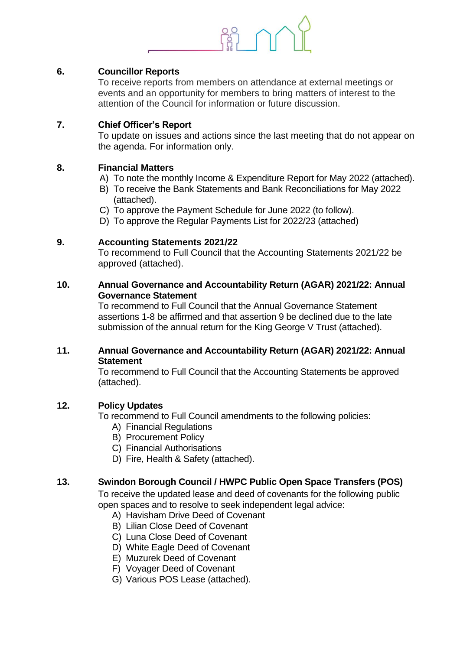

#### **6. Councillor Reports**

To receive reports from members on attendance at external meetings or events and an opportunity for members to bring matters of interest to the attention of the Council for information or future discussion.

#### **7. Chief Officer's Report**

To update on issues and actions since the last meeting that do not appear on the agenda. For information only.

## **8. Financial Matters**

- A) To note the monthly Income & Expenditure Report for May 2022 (attached).
- B) To receive the Bank Statements and Bank Reconciliations for May 2022 (attached).
- C) To approve the Payment Schedule for June 2022 (to follow).
- D) To approve the Regular Payments List for 2022/23 (attached)

#### **9. Accounting Statements 2021/22**

To recommend to Full Council that the Accounting Statements 2021/22 be approved (attached).

#### **10. Annual Governance and Accountability Return (AGAR) 2021/22: Annual Governance Statement**

To recommend to Full Council that the Annual Governance Statement assertions 1-8 be affirmed and that assertion 9 be declined due to the late submission of the annual return for the King George V Trust (attached).

#### **11. Annual Governance and Accountability Return (AGAR) 2021/22: Annual Statement**

To recommend to Full Council that the Accounting Statements be approved (attached).

## **12. Policy Updates**

To recommend to Full Council amendments to the following policies:

- A) Financial Regulations
- B) Procurement Policy
- C) Financial Authorisations
- D) Fire, Health & Safety (attached).

#### **13. Swindon Borough Council / HWPC Public Open Space Transfers (POS)**

To receive the updated lease and deed of covenants for the following public open spaces and to resolve to seek independent legal advice:

- A) Havisham Drive Deed of Covenant
- B) Lilian Close Deed of Covenant
- C) Luna Close Deed of Covenant
- D) White Eagle Deed of Covenant
- E) Muzurek Deed of Covenant
- F) Voyager Deed of Covenant
- G) Various POS Lease (attached).